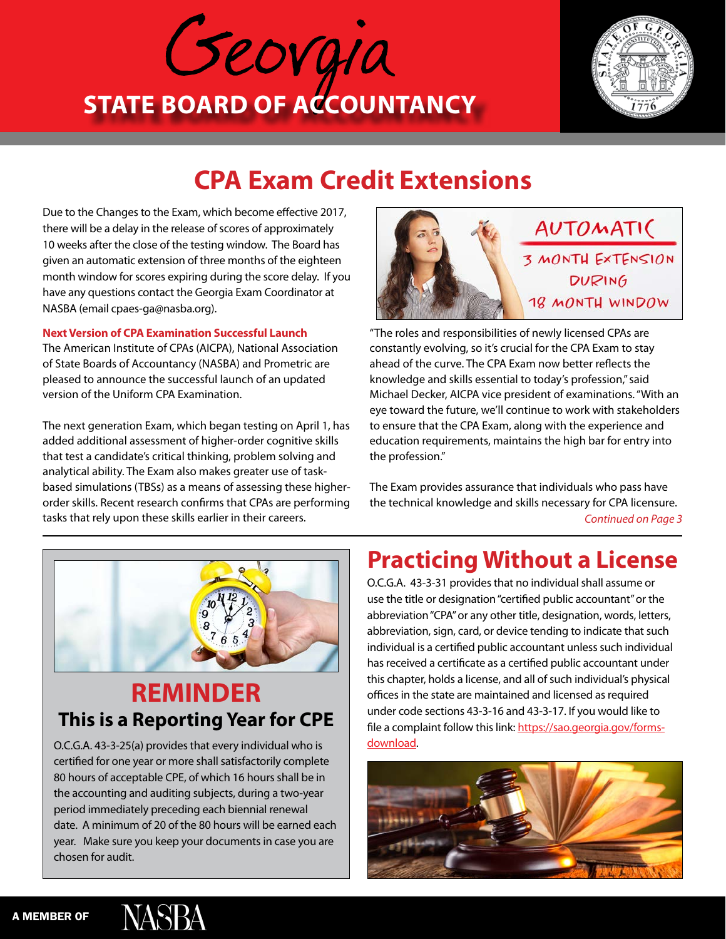



# **CPA Exam Credit Extensions**

Due to the Changes to the Exam, which become effective 2017, there will be a delay in the release of scores of approximately 10 weeks after the close of the testing window. The Board has given an automatic extension of three months of the eighteen month window for scores expiring during the score delay. If you have any questions contact the Georgia Exam Coordinator at NASBA (email cpaes-ga@nasba.org).

#### **Next Version of CPA Examination Successful Launch**

The American Institute of CPAs (AICPA), National Association of State Boards of Accountancy (NASBA) and Prometric are pleased to announce the successful launch of an updated version of the Uniform CPA Examination.

The next generation Exam, which began testing on April 1, has added additional assessment of higher-order cognitive skills that test a candidate's critical thinking, problem solving and analytical ability. The Exam also makes greater use of taskbased simulations (TBSs) as a means of assessing these higherorder skills. Recent research confirms that CPAs are performing tasks that rely upon these skills earlier in their careers.



"The roles and responsibilities of newly licensed CPAs are constantly evolving, so it's crucial for the CPA Exam to stay ahead of the curve. The CPA Exam now better reflects the knowledge and skills essential to today's profession," said Michael Decker, AICPA vice president of examinations. "With an eye toward the future, we'll continue to work with stakeholders to ensure that the CPA Exam, along with the experience and education requirements, maintains the high bar for entry into the profession."

The Exam provides assurance that individuals who pass have the technical knowledge and skills necessary for CPA licensure. *Continued on Page 3*



### **REMINDER This is a Reporting Year for CPE**

O.C.G.A. 43-3-25(a) provides that every individual who is certified for one year or more shall satisfactorily complete 80 hours of acceptable CPE, of which 16 hours shall be in the accounting and auditing subjects, during a two-year period immediately preceding each biennial renewal date. A minimum of 20 of the 80 hours will be earned each year. Make sure you keep your documents in case you are chosen for audit.

## **Practicing Without a License**

O.C.G.A. 43-3-31 provides that no individual shall assume or use the title or designation "certified public accountant" or the abbreviation "CPA" or any other title, designation, words, letters, abbreviation, sign, card, or device tending to indicate that such individual is a certified public accountant unless such individual has received a certificate as a certified public accountant under this chapter, holds a license, and all of such individual's physical offices in the state are maintained and licensed as required under code sections 43-3-16 and 43-3-17. If you would like to file a complaint follow this link: [https://sao.georgia.gov/forms](https://sao.georgia.gov/forms-download)[download](https://sao.georgia.gov/forms-download).



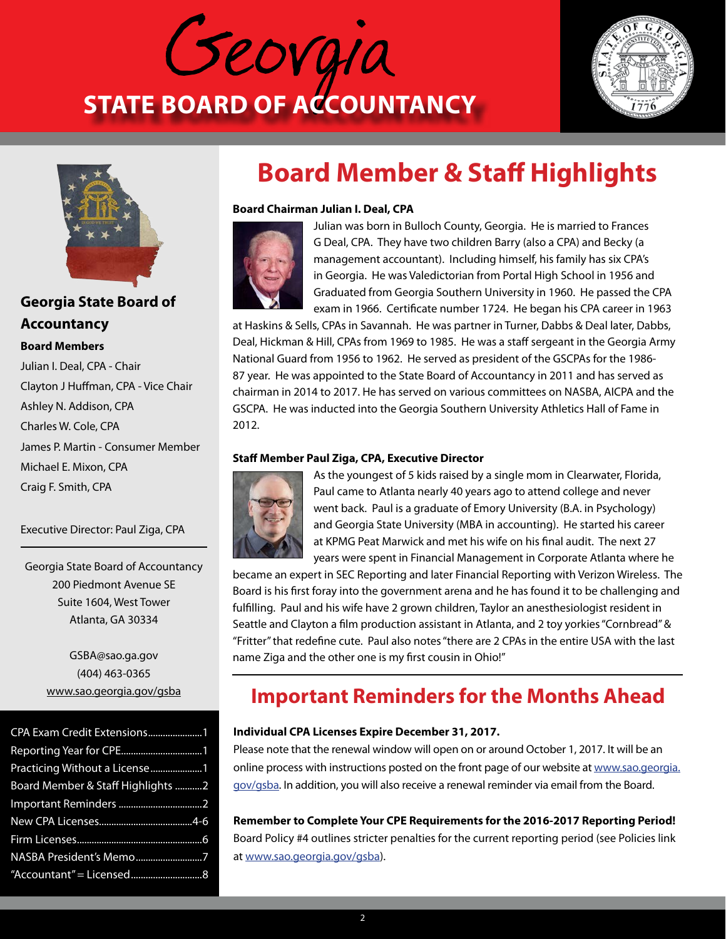





#### **Georgia State Board of Accountancy**

#### **Board Members**

Julian I. Deal, CPA - Chair Clayton J Huffman, CPA - Vice Chair Ashley N. Addison, CPA Charles W. Cole, CPA James P. Martin - Consumer Member Michael E. Mixon, CPA Craig F. Smith, CPA

Executive Director: Paul Ziga, CPA

Georgia State Board of Accountancy 200 Piedmont Avenue SE Suite 1604, West Tower Atlanta, GA 30334

> GSBA@sao.ga.gov (404) 463-0365 [www.sao.georgia.gov/gsba](http://www.sao.georgia.gov/gsba)

| CPA Exam Credit Extensions1       |
|-----------------------------------|
|                                   |
|                                   |
| Board Member & Staff Highlights 2 |
|                                   |
|                                   |
|                                   |
| NASBA President's Memo7           |
|                                   |

# **Board Member & Staff Highlights**

#### **Board Chairman Julian I. Deal, CPA**



Julian was born in Bulloch County, Georgia. He is married to Frances G Deal, CPA. They have two children Barry (also a CPA) and Becky (a management accountant). Including himself, his family has six CPA's in Georgia. He was Valedictorian from Portal High School in 1956 and Graduated from Georgia Southern University in 1960. He passed the CPA exam in 1966. Certificate number 1724. He began his CPA career in 1963

at Haskins & Sells, CPAs in Savannah. He was partner in Turner, Dabbs & Deal later, Dabbs, Deal, Hickman & Hill, CPAs from 1969 to 1985. He was a staff sergeant in the Georgia Army National Guard from 1956 to 1962. He served as president of the GSCPAs for the 1986- 87 year. He was appointed to the State Board of Accountancy in 2011 and has served as chairman in 2014 to 2017. He has served on various committees on NASBA, AICPA and the GSCPA. He was inducted into the Georgia Southern University Athletics Hall of Fame in 2012.

#### **Staff Member Paul Ziga, CPA, Executive Director**



As the youngest of 5 kids raised by a single mom in Clearwater, Florida, Paul came to Atlanta nearly 40 years ago to attend college and never went back. Paul is a graduate of Emory University (B.A. in Psychology) and Georgia State University (MBA in accounting). He started his career at KPMG Peat Marwick and met his wife on his final audit. The next 27 years were spent in Financial Management in Corporate Atlanta where he

became an expert in SEC Reporting and later Financial Reporting with Verizon Wireless. The Board is his first foray into the government arena and he has found it to be challenging and fulfilling. Paul and his wife have 2 grown children, Taylor an anesthesiologist resident in Seattle and Clayton a film production assistant in Atlanta, and 2 toy yorkies "Cornbread" & "Fritter" that redefine cute. Paul also notes "there are 2 CPAs in the entire USA with the last name Ziga and the other one is my first cousin in Ohio!"

### **Important Reminders for the Months Ahead**

#### **Individual CPA Licenses Expire December 31, 2017.**

Please note that the renewal window will open on or around October 1, 2017. It will be an online process with instructions posted on the front page of our website at [www.sao.georgia.](http://www.sao.georgia.gov/gsba) [gov/gsba](http://www.sao.georgia.gov/gsba). In addition, you will also receive a renewal reminder via email from the Board.

**Remember to Complete Your CPE Requirements for the 2016-2017 Reporting Period!**  Board Policy #4 outlines stricter penalties for the current reporting period (see Policies link at [www.sao.georgia.gov/gsba](http://www.sao.georgia.gov/gsba)).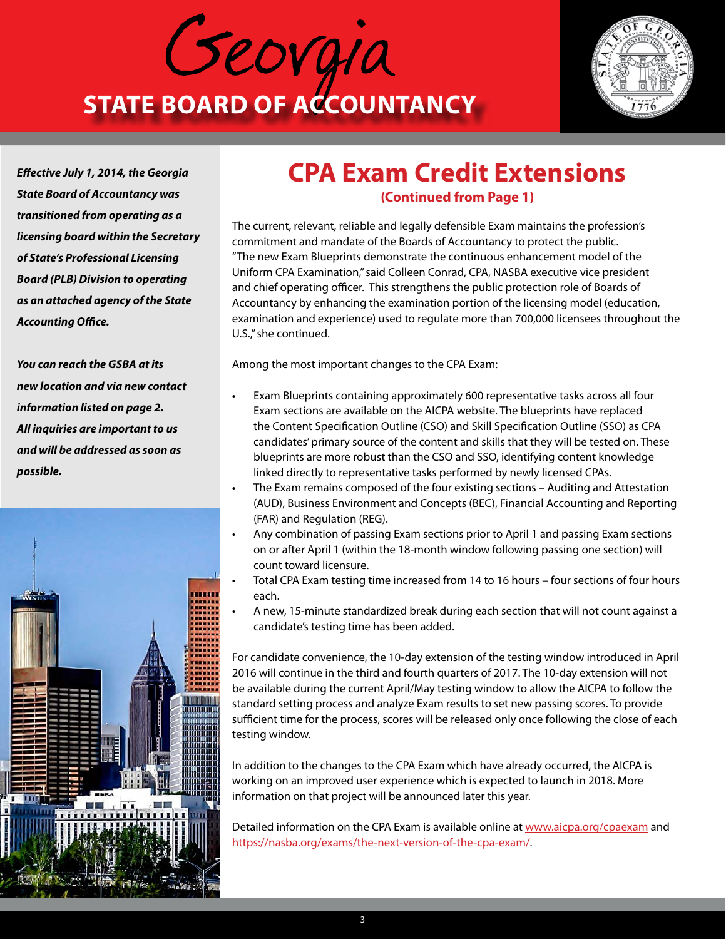



*Effective July 1, 2014, the Georgia State Board of Accountancy was transitioned from operating as a licensing board within the Secretary of State's Professional Licensing Board (PLB) Division to operating as an attached agency of the State Accounting Office.*

*You can reach the GSBA at its new location and via new contact information listed on page 2. All inquiries are important to us and will be addressed as soon as possible.*



### **CPA Exam Credit Extensions (Continued from Page 1)**

The current, relevant, reliable and legally defensible Exam maintains the profession's commitment and mandate of the Boards of Accountancy to protect the public. "The new Exam Blueprints demonstrate the continuous enhancement model of the Uniform CPA Examination," said Colleen Conrad, CPA, NASBA executive vice president and chief operating officer. This strengthens the public protection role of Boards of Accountancy by enhancing the examination portion of the licensing model (education, examination and experience) used to regulate more than 700,000 licensees throughout the U.S.," she continued.

Among the most important changes to the CPA Exam:

- Exam Blueprints containing approximately 600 representative tasks across all four Exam sections are available on the AICPA website. The blueprints have replaced the Content Specification Outline (CSO) and Skill Specification Outline (SSO) as CPA candidates' primary source of the content and skills that they will be tested on. These blueprints are more robust than the CSO and SSO, identifying content knowledge linked directly to representative tasks performed by newly licensed CPAs.
- The Exam remains composed of the four existing sections Auditing and Attestation (AUD), Business Environment and Concepts (BEC), Financial Accounting and Reporting (FAR) and Regulation (REG).
- Any combination of passing Exam sections prior to April 1 and passing Exam sections on or after April 1 (within the 18-month window following passing one section) will count toward licensure.
- Total CPA Exam testing time increased from 14 to 16 hours four sections of four hours each.
- A new, 15-minute standardized break during each section that will not count against a candidate's testing time has been added.

For candidate convenience, the 10-day extension of the testing window introduced in April 2016 will continue in the third and fourth quarters of 2017. The 10-day extension will not be available during the current April/May testing window to allow the AICPA to follow the standard setting process and analyze Exam results to set new passing scores. To provide sufficient time for the process, scores will be released only once following the close of each testing window.

In addition to the changes to the CPA Exam which have already occurred, the AICPA is working on an improved user experience which is expected to launch in 2018. More information on that project will be announced later this year.

Detailed information on the CPA Exam is available online at [www.aicpa.org/cpaexam](http://www.aicpa.org/cpaexam) and <https://nasba.org/exams/the-next-version-of-the-cpa-exam/>.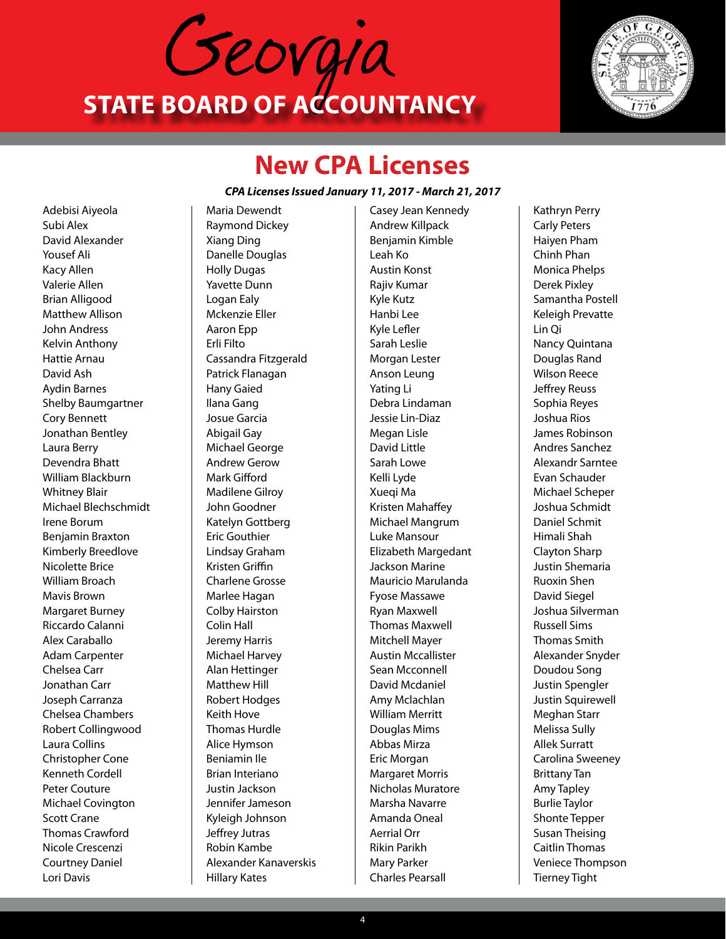



## **New CPA Licenses**

#### *CPA Licenses Issued January 11, 2017 - March 21, 2017*

Adebisi Aiyeola Subi Alex David Alexander Yousef Ali Kacy Allen Valerie Allen Brian Alligood Matthew Allison John Andress Kelvin Anthony Hattie Arnau David Ash Aydin Barnes Shelby Baumgartner Cory Bennett Jonathan Bentley Laura Berry Devendra Bhatt William Blackburn Whitney Blair Michael Blechschmidt Irene Borum Benjamin Braxton Kimberly Breedlove Nicolette Brice William Broach Mavis Brown Margaret Burney Riccardo Calanni Alex Caraballo Adam Carpenter Chelsea Carr Jonathan Carr Joseph Carranza Chelsea Chambers Robert Collingwood Laura Collins Christopher Cone Kenneth Cordell Peter Couture Michael Covington Scott Crane Thomas Crawford Nicole Crescenzi Courtney Daniel Lori Davis

Maria Dewendt Raymond Dickey Xiang Ding Danelle Douglas Holly Dugas Yavette Dunn Logan Ealy Mckenzie Eller Aaron Epp Erli Filto Cassandra Fitzgerald Patrick Flanagan Hany Gaied Ilana Gang Josue Garcia Abigail Gay Michael George Andrew Gerow Mark Gifford Madilene Gilroy John Goodner Katelyn Gottberg Eric Gouthier Lindsay Graham Kristen Griffin Charlene Grosse Marlee Hagan Colby Hairston Colin Hall Jeremy Harris Michael Harvey Alan Hettinger Matthew Hill Robert Hodges Keith Hove Thomas Hurdle Alice Hymson Beniamin Ile Brian Interiano Justin Jackson Jennifer Jameson Kyleigh Johnson Jeffrey Jutras Robin Kambe Alexander Kanaverskis Hillary Kates

Casey Jean Kennedy Andrew Killpack Benjamin Kimble Leah Ko Austin Konst Rajiv Kumar Kyle Kutz Hanbi Lee Kyle Lefler Sarah Leslie Morgan Lester Anson Leung Yating Li Debra Lindaman Jessie Lin-Diaz Megan Lisle David Little Sarah Lowe Kelli Lyde Xueqi Ma Kristen Mahaffey Michael Mangrum Luke Mansour Elizabeth Margedant Jackson Marine Mauricio Marulanda Fyose Massawe Ryan Maxwell Thomas Maxwell Mitchell Mayer Austin Mccallister Sean Mcconnell David Mcdaniel Amy Mclachlan William Merritt Douglas Mims Abbas Mirza Eric Morgan Margaret Morris Nicholas Muratore Marsha Navarre Amanda Oneal Aerrial Orr Rikin Parikh Mary Parker Charles Pearsall

Kathryn Perry Carly Peters Haiyen Pham Chinh Phan Monica Phelps Derek Pixley Samantha Postell Keleigh Prevatte Lin Qi Nancy Quintana Douglas Rand Wilson Reece Jeffrey Reuss Sophia Reyes Joshua Rios James Robinson Andres Sanchez Alexandr Sarntee Evan Schauder Michael Scheper Joshua Schmidt Daniel Schmit Himali Shah Clayton Sharp Justin Shemaria Ruoxin Shen David Siegel Joshua Silverman Russell Sims Thomas Smith Alexander Snyder Doudou Song Justin Spengler Justin Squirewell Meghan Starr Melissa Sully Allek Surratt Carolina Sweeney Brittany Tan Amy Tapley Burlie Taylor Shonte Tepper Susan Theising Caitlin Thomas Veniece Thompson Tierney Tight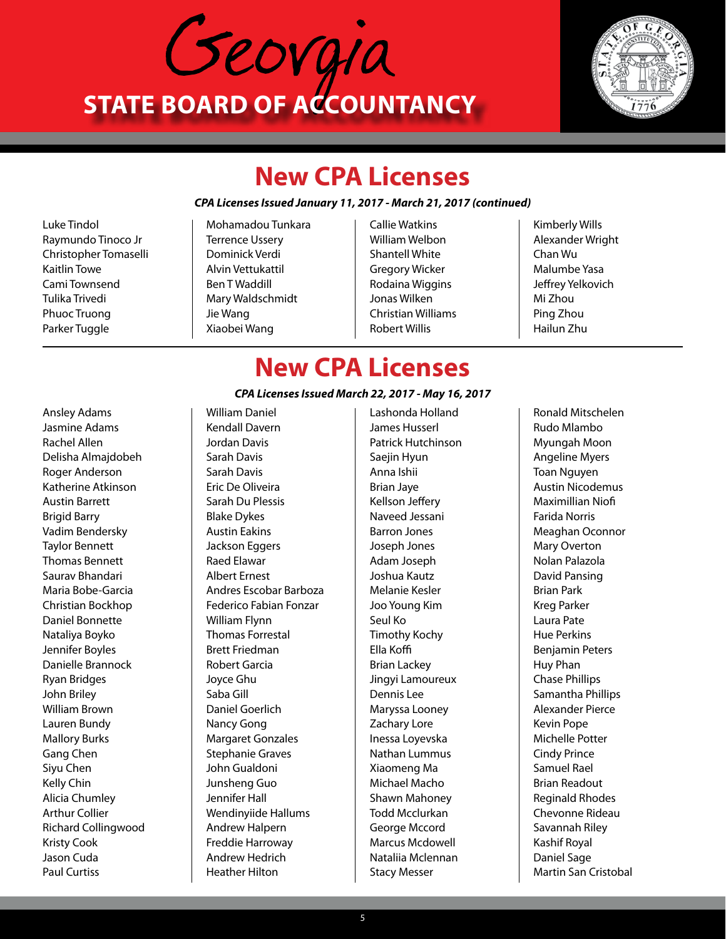



## **New CPA Licenses**

#### *CPA Licenses Issued January 11, 2017 - March 21, 2017 (continued)*

Luke Tindol Raymundo Tinoco Jr Christopher Tomaselli Kaitlin Towe Cami Townsend Tulika Trivedi Phuoc Truong Parker Tuggle

Mohamadou Tunkara Terrence Ussery Dominick Verdi Alvin Vettukattil Ben T Waddill Mary Waldschmidt Jie Wang Xiaobei Wang

- Callie Watkins William Welbon Shantell White Gregory Wicker Rodaina Wiggins Jonas Wilken Christian Williams Robert Willis
- Kimberly Wills Alexander Wright Chan Wu Malumbe Yasa Jeffrey Yelkovich Mi Zhou Ping Zhou Hailun Zhu

## **New CPA Licenses**

#### *CPA Licenses Issued March 22, 2017 - May 16, 2017*

Ansley Adams Jasmine Adams Rachel Allen Delisha Almajdobeh Roger Anderson Katherine Atkinson Austin Barrett Brigid Barry Vadim Bendersky Taylor Bennett Thomas Bennett Saurav Bhandari Maria Bobe-Garcia Christian Bockhop Daniel Bonnette Nataliya Boyko Jennifer Boyles Danielle Brannock Ryan Bridges John Briley William Brown Lauren Bundy Mallory Burks Gang Chen Siyu Chen Kelly Chin Alicia Chumley Arthur Collier Richard Collingwood Kristy Cook Jason Cuda Paul Curtiss

William Daniel Kendall Davern Jordan Davis Sarah Davis Sarah Davis Eric De Oliveira Sarah Du Plessis Blake Dykes Austin Eakins Jackson Eggers Raed Elawar Albert Ernest Andres Escobar Barboza Federico Fabian Fonzar William Flynn Thomas Forrestal Brett Friedman Robert Garcia Joyce Ghu Saba Gill Daniel Goerlich Nancy Gong Margaret Gonzales Stephanie Graves John Gualdoni Junsheng Guo Jennifer Hall Wendinyiide Hallums Andrew Halpern Freddie Harroway Andrew Hedrich Heather Hilton

Lashonda Holland James Husserl Patrick Hutchinson Saejin Hyun Anna Ishii Brian Jaye Kellson Jeffery Naveed Jessani Barron Jones Joseph Jones Adam Joseph Joshua Kautz Melanie Kesler Joo Young Kim Seul Ko Timothy Kochy Ella Koffi Brian Lackey Jingyi Lamoureux Dennis Lee Maryssa Looney Zachary Lore Inessa Loyevska Nathan Lummus Xiaomeng Ma Michael Macho Shawn Mahoney Todd Mcclurkan George Mccord Marcus Mcdowell Nataliia Mclennan Stacy Messer

Ronald Mitschelen Rudo Mlambo Myungah Moon Angeline Myers Toan Nguyen Austin Nicodemus Maximillian Niofi Farida Norris Meaghan Oconnor Mary Overton Nolan Palazola David Pansing Brian Park Kreg Parker Laura Pate Hue Perkins Benjamin Peters Huy Phan Chase Phillips Samantha Phillips Alexander Pierce Kevin Pope Michelle Potter Cindy Prince Samuel Rael Brian Readout Reginald Rhodes Chevonne Rideau Savannah Riley Kashif Royal Daniel Sage Martin San Cristobal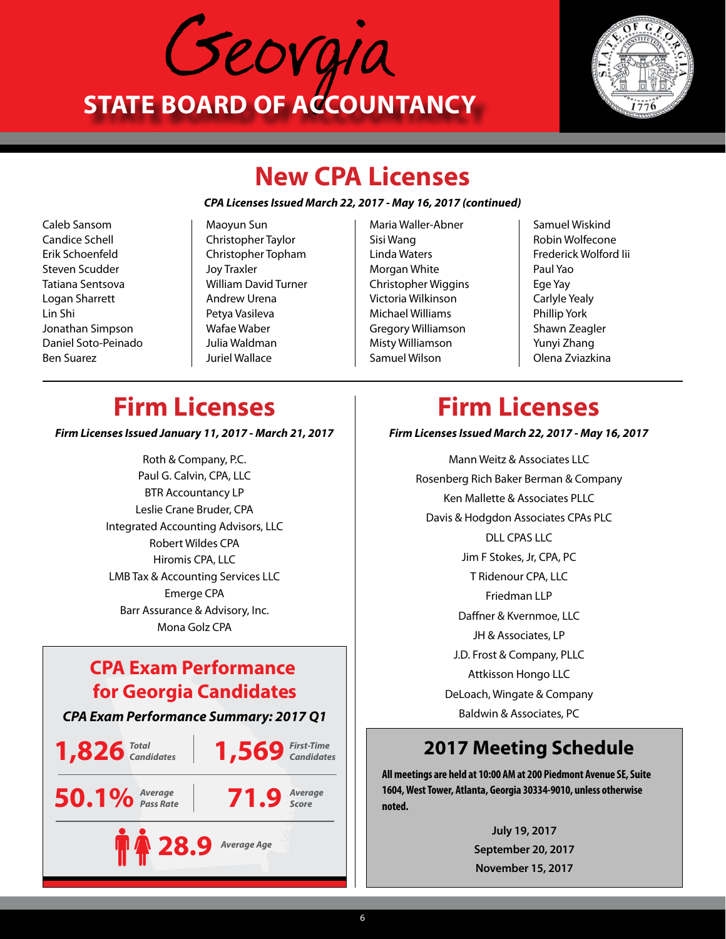



## **New CPA Licenses**

#### *CPA Licenses Issued March 22, 2017 - May 16, 2017 (continued)*

Caleb Sansom Candice Schell Erik Schoenfeld Steven Scudder Tatiana Sentsova Logan Sharrett Lin Shi Jonathan Simpson Daniel Soto-Peinado Ben Suarez

Maoyun Sun Christopher Taylor Christopher Topham Joy Traxler William David Turner Andrew Urena Petya Vasileva Wafae Waber Julia Waldman Juriel Wallace

- Maria Waller-Abner Sisi Wang Linda Waters Morgan White Christopher Wiggins Victoria Wilkinson Michael Williams Gregory Williamson Misty Williamson Samuel Wilson
- Samuel Wiskind Robin Wolfecone Frederick Wolford Iii Paul Yao Ege Yay Carlyle Yealy Phillip York Shawn Zeagler Yunyi Zhang Olena Zviazkina

### **Firm Licenses**

*Firm Licenses Issued January 11, 2017 - March 21, 2017*

Roth & Company, P.C. Paul G. Calvin, CPA, LLC BTR Accountancy LP Leslie Crane Bruder, CPA Integrated Accounting Advisors, LLC Robert Wildes CPA Hiromis CPA, LLC LMB Tax & Accounting Services LLC Emerge CPA Barr Assurance & Advisory, Inc. Mona Golz CPA

### **CPA Exam Performance for Georgia Candidates**



## **Firm Licenses**

*Firm Licenses Issued March 22, 2017 - May 16, 2017*

Mann Weitz & Associates LLC Rosenberg Rich Baker Berman & Company Ken Mallette & Associates PLLC Davis & Hodgdon Associates CPAs PLC DLL CPAS LLC Jim F Stokes, Jr, CPA, PC T Ridenour CPA, LLC Friedman LLP Daffner & Kvernmoe, LLC JH & Associates, LP J.D. Frost & Company, PLLC Attkisson Hongo LLC DeLoach, Wingate & Company Baldwin & Associates, PC

### **2017 Meeting Schedule**

**All meetings are held at 10:00 AM at 200 Piedmont Avenue SE, Suite 1604, West Tower, Atlanta, Georgia 30334-9010, unless otherwise noted.**

> **July 19, 2017 September 20, 2017 November 15, 2017**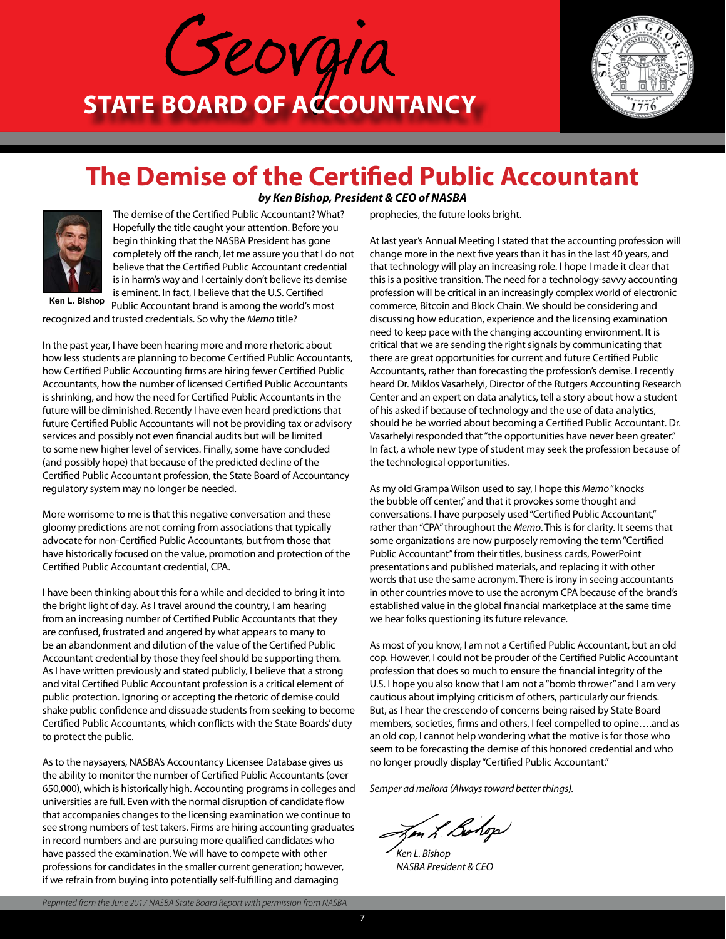



### **The Demise of the Certified Public Accountant** *by Ken Bishop, President & CEO of NASBA*



The demise of the Certified Public Accountant? What? Hopefully the title caught your attention. Before you begin thinking that the NASBA President has gone completely off the ranch, let me assure you that I do not believe that the Certified Public Accountant credential is in harm's way and I certainly don't believe its demise is eminent. In fact, I believe that the U.S. Certified Public Accountant brand is among the world's most

**Ken L. Bishop**

recognized and trusted credentials. So why the *Memo* title?

In the past year, I have been hearing more and more rhetoric about how less students are planning to become Certified Public Accountants, how Certified Public Accounting firms are hiring fewer Certified Public Accountants, how the number of licensed Certified Public Accountants is shrinking, and how the need for Certified Public Accountants in the future will be diminished. Recently I have even heard predictions that future Certified Public Accountants will not be providing tax or advisory services and possibly not even financial audits but will be limited to some new higher level of services. Finally, some have concluded (and possibly hope) that because of the predicted decline of the Certified Public Accountant profession, the State Board of Accountancy regulatory system may no longer be needed.

More worrisome to me is that this negative conversation and these gloomy predictions are not coming from associations that typically advocate for non-Certified Public Accountants, but from those that have historically focused on the value, promotion and protection of the Certified Public Accountant credential, CPA.

I have been thinking about this for a while and decided to bring it into the bright light of day. As I travel around the country, I am hearing from an increasing number of Certified Public Accountants that they are confused, frustrated and angered by what appears to many to be an abandonment and dilution of the value of the Certified Public Accountant credential by those they feel should be supporting them. As I have written previously and stated publicly, I believe that a strong and vital Certified Public Accountant profession is a critical element of public protection. Ignoring or accepting the rhetoric of demise could shake public confidence and dissuade students from seeking to become Certified Public Accountants, which conflicts with the State Boards' duty to protect the public.

As to the naysayers, NASBA's Accountancy Licensee Database gives us the ability to monitor the number of Certified Public Accountants (over 650,000), which is historically high. Accounting programs in colleges and universities are full. Even with the normal disruption of candidate flow that accompanies changes to the licensing examination we continue to see strong numbers of test takers. Firms are hiring accounting graduates in record numbers and are pursuing more qualified candidates who have passed the examination. We will have to compete with other professions for candidates in the smaller current generation; however, if we refrain from buying into potentially self-fulfilling and damaging

prophecies, the future looks bright.

At last year's Annual Meeting I stated that the accounting profession will change more in the next five years than it has in the last 40 years, and that technology will play an increasing role. I hope I made it clear that this is a positive transition. The need for a technology-savvy accounting profession will be critical in an increasingly complex world of electronic commerce, Bitcoin and Block Chain. We should be considering and discussing how education, experience and the licensing examination need to keep pace with the changing accounting environment. It is critical that we are sending the right signals by communicating that there are great opportunities for current and future Certified Public Accountants, rather than forecasting the profession's demise. I recently heard Dr. Miklos Vasarhelyi, Director of the Rutgers Accounting Research Center and an expert on data analytics, tell a story about how a student of his asked if because of technology and the use of data analytics, should he be worried about becoming a Certified Public Accountant. Dr. Vasarhelyi responded that "the opportunities have never been greater." In fact, a whole new type of student may seek the profession because of the technological opportunities.

As my old Grampa Wilson used to say, I hope this *Memo* "knocks the bubble off center," and that it provokes some thought and conversations. I have purposely used "Certified Public Accountant," rather than "CPA" throughout the *Memo*. This is for clarity. It seems that some organizations are now purposely removing the term "Certified Public Accountant" from their titles, business cards, PowerPoint presentations and published materials, and replacing it with other words that use the same acronym. There is irony in seeing accountants in other countries move to use the acronym CPA because of the brand's established value in the global financial marketplace at the same time we hear folks questioning its future relevance.

As most of you know, I am not a Certified Public Accountant, but an old cop. However, I could not be prouder of the Certified Public Accountant profession that does so much to ensure the financial integrity of the U.S. I hope you also know that I am not a "bomb thrower" and I am very cautious about implying criticism of others, particularly our friends. But, as I hear the crescendo of concerns being raised by State Board members, societies, firms and others, I feel compelled to opine….and as an old cop, I cannot help wondering what the motive is for those who seem to be forecasting the demise of this honored credential and who no longer proudly display "Certified Public Accountant."

*Semper ad meliora (Always toward better things).*

en L.Be

*Ken L. Bishop NASBA President & CEO*